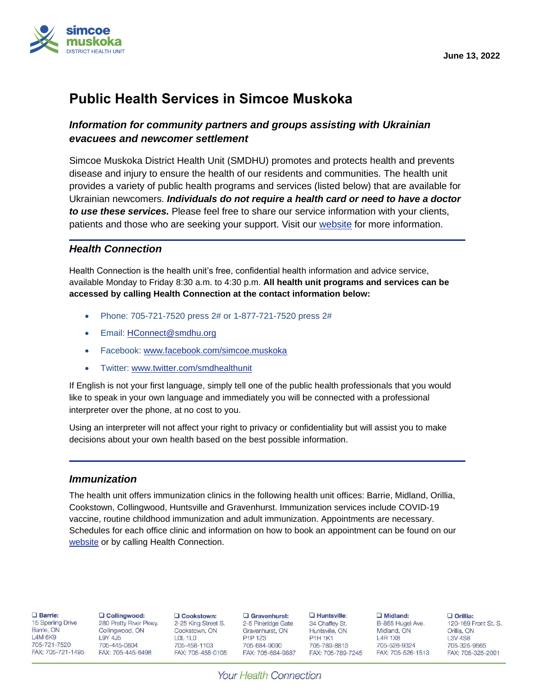

# **Public Health Services in Simcoe Muskoka**

### *Information for community partners and groups assisting with Ukrainian evacuees and newcomer settlement*

Simcoe Muskoka District Health Unit (SMDHU) promotes and protects health and prevents disease and injury to ensure the health of our residents and communities. The health unit provides a variety of public health programs and services (listed below) that are available for Ukrainian newcomers. *Individuals do not require a health card or need to have a doctor to use these services.* Please feel free to share our service information with your clients, patients and those who are seeking your support. Visit our [website](https://www.simcoemuskokahealth.org/) for more information.

### *Health Connection*

Health Connection is the health unit's free, confidential health information and advice service, available Monday to Friday 8:30 a.m. to 4:30 p.m. **All health unit programs and services can be accessed by calling Health Connection at the contact information below:**

- Phone: 705-721-7520 press 2# or 1-877-721-7520 press 2#
- Email: [HConnect@smdhu.org](mailto:HConnect@smdhu.org)
- Facebook: [www.facebook.com/simcoe.muskoka](http://www.facebook.com/simcoe.muskoka)
- Twitter: [www.twitter.com/smdhealthunit](http://www.twitter.com/smdhealthunit)

If English is not your first language, simply tell one of the public health professionals that you would like to speak in your own language and immediately you will be connected with a professional interpreter over the phone, at no cost to you.

Using an interpreter will not affect your right to privacy or confidentiality but will assist you to make decisions about your own health based on the best possible information.

#### *Immunization*

The health unit offers immunization clinics in the following health unit offices: Barrie, Midland, Orillia, Cookstown, Collingwood, Huntsville and Gravenhurst. Immunization services include COVID-19 vaccine, routine childhood immunization and adult immunization. Appointments are necessary. Schedules for each office clinic and information on how to book an appointment can be found on our [website](https://www.simcoemuskokahealth.org/Topics/Immunization/Clinics-and-Programs) or by calling Health Connection.

**Barrie:** 15 Sperling Drive Barrie, ON **L4M 6K9** 705-721-7520 FAX: 705-721-1495 Q Collingwood: 280 Pretty River Pkwy. Collingwood, ON  $19Y4.15$ 705-445-0804 FAX: 705-445-6498

Q Cookstown: 2-25 King Street S. Cookstown, ON  $101110$ 705-458-1103 FAX: 705-458-0105 Gravenhurst: 2-5 Pineridge Gate Gravenhurst, ON P<sub>1</sub>P<sub>173</sub> 705-684-9090 FAX: 705-684-9887  $\Box$  Huntsville: 34 Chaffey St. Huntsville, ON **P1H 1K1** 705-789-8813 FAX: 705-789-7245

Midland: B-865 Hugel Ave. Midland, ON **L4R1X8** 705-526-9324 FAX: 705-526-1513

O Orillia: 120-169 Front St. S. Orillia, ON **13V 4S8** 705-325-9565 FAX: 705-325-2091

**Your Health Connection**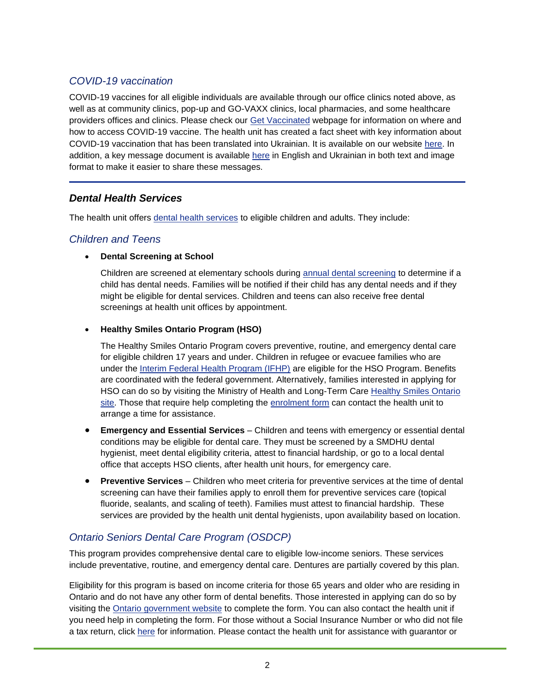# *COVID-19 vaccination*

COVID-19 vaccines for all eligible individuals are available through our office clinics noted above, as well as at community clinics, pop-up and GO-VAXX clinics, local pharmacies, and some healthcare providers offices and clinics. Please check our [Get Vaccinated](https://www.simcoemuskokahealth.org/Topics/COVID-19/GettingVaccinated) webpage for information on where and how to access COVID-19 vaccine. The health unit has created a fact sheet with key information about COVID-19 vaccination that has been translated into Ukrainian. It is available on our website [here.](https://www.simcoemuskokahealth.org/docs/default-source/COVID-/Multilingual-Resources/ukrainian-booster-and-general-vaccination-messages-aoda.pdf?sfvrsn=2) In addition, a key message document is available [here](https://www.simcoemuskokahealth.org/docs/default-source/COVID-/Multilingual-Resources/ukrainian-text-and-image-blocks.docx?sfvrsn=2) in English and Ukrainian in both text and image format to make it easier to share these messages.

### *Dental Health Services*

The health unit offers [dental health services](https://www.simcoemuskokahealth.org/Topics/Dental/Dental-Clinics) to eligible children and adults. They include:

### *Children and Teens*

#### • **Dental Screening at School**

Children are screened at elementary schools during [annual dental screening](https://www.simcoemuskokahealth.org/Topics/Dental/Dental-Screening) to determine if a child has dental needs. Families will be notified if their child has any dental needs and if they might be eligible for dental services. Children and teens can also receive free dental screenings at health unit offices by appointment.

#### • **Healthy Smiles Ontario Program (HSO)**

The Healthy Smiles Ontario Program covers preventive, routine, and emergency dental care for eligible children 17 years and under. Children in refugee or evacuee families who are under the [Interim Federal Health Program \(IFHP\)](https://www.canada.ca/en/immigration-refugees-citizenship/services/refugees/help-within-canada/health-care/interim-federal-health-program.html) are eligible for the HSO Program. Benefits are coordinated with the federal government. Alternatively, families interested in applying for HSO can do so by visiting the Ministry of Health and Long-Term Care [Healthy Smiles Ontario](https://www.ontario.ca/page/get-dental-care)  [site.](https://www.ontario.ca/page/get-dental-care) Those that require help completing the [enrolment form](https://www.services.gov.on.ca/wps85/portal/s2i/!ut/p/z1/hY9LD4IwEIR_DVe2oGL1RnyQEDQohkcvpJhaSKAlpcrft8aTiYS97ew3M1kgkAMR9NVwqhspaGv2gnglDpDn-kvnHITuAV2uKxzd4pMTpC6kkM0hxJzRxPjI-MkcUpiK9VQFRg4kn4yWCg4FE5AwUe58CIHwVlbfL3xRLTAHotiDKabspzJyrXU_bC1koXEcbSk0VY2079RC_yy1HDTkvyT03XETd125j1j2BsySsHI!/dz/d5/L2dBISEvZ0FBIS9nQSEh/) can contact the health unit to arrange a time for assistance.

- **Emergency and Essential Services** Children and teens with emergency or essential dental conditions may be eligible for dental care. They must be screened by a SMDHU dental hygienist, meet dental eligibility criteria, attest to financial hardship, or go to a local dental office that accepts HSO clients, after health unit hours, for emergency care.
- **Preventive Services**  Children who meet criteria for preventive services at the time of dental screening can have their families apply to enroll them for preventive services care (topical fluoride, sealants, and scaling of teeth). Families must attest to financial hardship. These services are provided by the health unit dental hygienists, upon availability based on location.

# *Ontario Seniors Dental Care Program (OSDCP)*

This program provides comprehensive dental care to eligible low-income seniors. These services include preventative, routine, and emergency dental care. Dentures are partially covered by this plan.

Eligibility for this program is based on income criteria for those 65 years and older who are residing in Ontario and do not have any other form of dental benefits. Those interested in applying can do so by visiting the [Ontario government website](https://www.ontario.ca/page/dental-care-low-income-seniors#section-2) to complete the form. You can also contact the health unit if you need help in completing the form. For those without a Social Insurance Number or who did not file a tax return, click [here](https://www.forms.ssb.gov.on.ca/mbs/ssb/forms/ssbforms.nsf/FormDetail?OpenForm&ACT=RDR&TAB=PROFILE&SRCH=1&ENV=WWE&TIT=5126&NO=014-5126-20E) for information. Please contact the health unit for assistance with guarantor or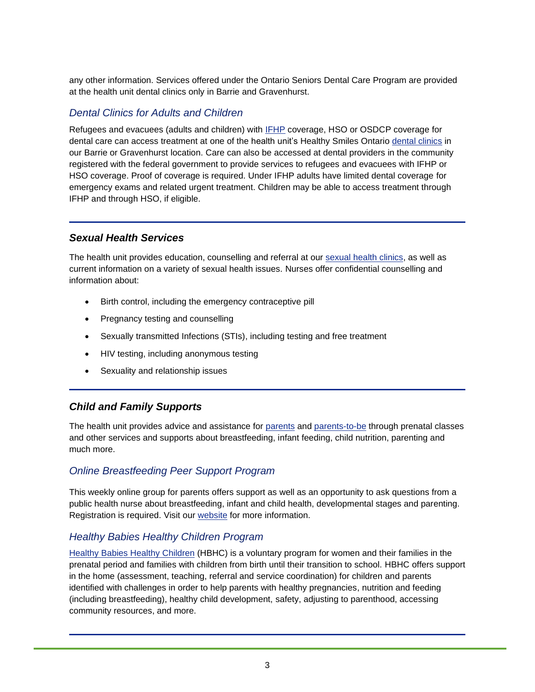any other information. Services offered under the Ontario Seniors Dental Care Program are provided at the health unit dental clinics only in Barrie and Gravenhurst.

### *Dental Clinics for Adults and Children*

Refugees and evacuees (adults and children) with [IFHP](https://www.canada.ca/en/immigration-refugees-citizenship/services/refugees/help-within-canada/health-care/interim-federal-health-program.html) coverage, HSO or OSDCP coverage for dental care can access treatment at one of the health unit's Healthy Smiles Ontario [dental clinics](https://www.simcoemuskokahealth.org/Topics/Dental/Dental-Clinics) in our Barrie or Gravenhurst location. Care can also be accessed at dental providers in the community registered with the federal government to provide services to refugees and evacuees with IFHP or HSO coverage. Proof of coverage is required. Under IFHP adults have limited dental coverage for emergency exams and related urgent treatment. Children may be able to access treatment through IFHP and through HSO, if eligible.

### *Sexual Health Services*

The health unit provides education, counselling and referral at our [sexual health clinics,](https://www.simcoemuskokahealth.org/HealthUnit/Services/ClassesTraining/sexual-health-clinics) as well as current information on a variety of sexual health issues. Nurses offer confidential counselling and information about:

- Birth control, including the emergency contraceptive pill
- Pregnancy testing and counselling
- Sexually transmitted Infections (STIs), including testing and free treatment
- HIV testing, including anonymous testing
- Sexuality and relationship issues

# *Child and Family Supports*

The health unit provides advice and assistance for [parents](https://www.simcoemuskokahealth.org/Topics/RaisingChildren) and [parents-to-be](https://www.simcoemuskokahealth.org/Topics/PregnancyandBefore) through prenatal classes and other services and supports about breastfeeding, infant feeding, child nutrition, parenting and much more.

# *Online Breastfeeding Peer Support Program*

This weekly online group for parents offers support as well as an opportunity to ask questions from a public health nurse about breastfeeding, infant and child health, developmental stages and parenting. Registration is required. Visit our [website](https://www.simcoemuskokahealth.org/Topics/PregnancyandBefore/Online-Breastfeeding-Group) for more information.

# *Healthy Babies Healthy Children Program*

[Healthy Babies Healthy Children](https://www.simcoemuskokahealth.org/HealthUnit/Services/HealthyBabiesHealthyChildren.aspx) (HBHC) is a voluntary program for women and their families in the prenatal period and families with children from birth until their transition to school. HBHC offers support in the home (assessment, teaching, referral and service coordination) for children and parents identified with challenges in order to help parents with healthy pregnancies, nutrition and feeding (including breastfeeding), healthy child development, safety, adjusting to parenthood, accessing community resources, and more.